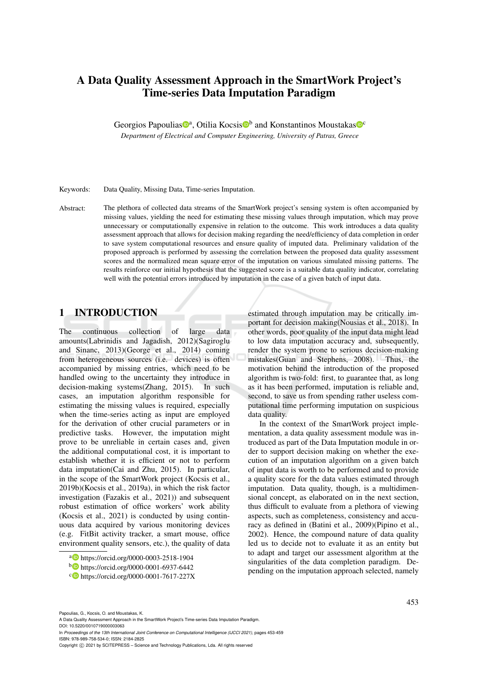# A Data Quality Assessment Approach in the SmartWork Project's Time-series Data Imputation Paradigm

Georgios Papoulias<sup>®</sup><sup>a</sup>, Otilia Kocsis<sup>®</sup> and Konstantinos Moustakas<sup>®</sup>

*Department of Electrical and Computer Engineering, University of Patras, Greece*

Keywords: Data Quality, Missing Data, Time-series Imputation.

Abstract: The plethora of collected data streams of the SmartWork project's sensing system is often accompanied by missing values, yielding the need for estimating these missing values through imputation, which may prove unnecessary or computationally expensive in relation to the outcome. This work introduces a data quality assessment approach that allows for decision making regarding the need/efficiency of data completion in order to save system computational resources and ensure quality of imputed data. Preliminary validation of the proposed approach is performed by assessing the correlation between the proposed data quality assessment scores and the normalized mean square error of the imputation on various simulated missing patterns. The results reinforce our initial hypothesis that the suggested score is a suitable data quality indicator, correlating well with the potential errors introduced by imputation in the case of a given batch of input data.

# 1 INTRODUCTION

The continuous collection of large data amounts(Labrinidis and Jagadish, 2012)(Sagiroglu and Sinanc, 2013)(George et al., 2014) coming from heterogeneous sources (i.e. devices) is often accompanied by missing entries, which need to be handled owing to the uncertainty they introduce in decision-making systems(Zhang, 2015). In such cases, an imputation algorithm responsible for estimating the missing values is required, especially when the time-series acting as input are employed for the derivation of other crucial parameters or in predictive tasks. However, the imputation might prove to be unreliable in certain cases and, given the additional computational cost, it is important to establish whether it is efficient or not to perform data imputation(Cai and Zhu, 2015). In particular, in the scope of the SmartWork project (Kocsis et al., 2019b)(Kocsis et al., 2019a), in which the risk factor investigation (Fazakis et al., 2021)) and subsequent robust estimation of office workers' work ability (Kocsis et al., 2021) is conducted by using continuous data acquired by various monitoring devices (e.g. FitBit activity tracker, a smart mouse, office environment quality sensors, etc.), the quality of data

estimated through imputation may be critically important for decision making(Nousias et al., 2018). In other words, poor quality of the input data might lead to low data imputation accuracy and, subsequently, render the system prone to serious decision-making mistakes(Guan and Stephens, 2008). Thus, the motivation behind the introduction of the proposed algorithm is two-fold: first, to guarantee that, as long as it has been performed, imputation is reliable and, second, to save us from spending rather useless computational time performing imputation on suspicious data quality.

In the context of the SmartWork project implementation, a data quality assessment module was introduced as part of the Data Imputation module in order to support decision making on whether the execution of an imputation algorithm on a given batch of input data is worth to be performed and to provide a quality score for the data values estimated through imputation. Data quality, though, is a multidimensional concept, as elaborated on in the next section, thus difficult to evaluate from a plethora of viewing aspects, such as completeness, consistency and accuracy as defined in (Batini et al., 2009)(Pipino et al., 2002). Hence, the compound nature of data quality led us to decide not to evaluate it as an entity but to adapt and target our assessment algorithm at the singularities of the data completion paradigm. Depending on the imputation approach selected, namely

A Data Quality Assessment Approach in the SmartWork Project's Time-series Data Imputation Paradigm. DOI: 10.5220/0010719000003063

In *Proceedings of the 13th International Joint Conference on Computational Intelligence (IJCCI 2021)*, pages 453-459 ISBN: 978-989-758-534-0; ISSN: 2184-2825

<sup>a</sup> https://orcid.org/0000-0003-2518-1904

<sup>b</sup> https://orcid.org/0000-0001-6937-6442

c https://orcid.org/0000-0001-7617-227X

Copyright (C) 2021 by SCITEPRESS - Science and Technology Publications, Lda. All rights reserved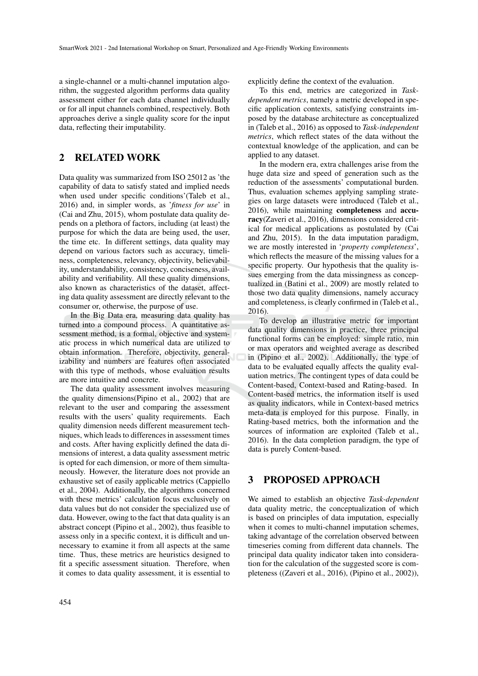a single-channel or a multi-channel imputation algorithm, the suggested algorithm performs data quality assessment either for each data channel individually or for all input channels combined, respectively. Both approaches derive a single quality score for the input data, reflecting their imputability.

# 2 RELATED WORK

Data quality was summarized from ISO 25012 as 'the capability of data to satisfy stated and implied needs when used under specific conditions'(Taleb et al., 2016) and, in simpler words, as '*fitness for use*' in (Cai and Zhu, 2015), whom postulate data quality depends on a plethora of factors, including (at least) the purpose for which the data are being used, the user, the time etc. In different settings, data quality may depend on various factors such as accuracy, timeliness, completeness, relevancy, objectivity, believability, understandability, consistency, conciseness, availability and verifiability. All these quality dimensions, also known as characteristics of the dataset, affecting data quality assessment are directly relevant to the consumer or, otherwise, the purpose of use.

In the Big Data era, measuring data quality has turned into a compound process. A quantitative assessment method, is a formal, objective and systematic process in which numerical data are utilized to obtain information. Therefore, objectivity, generalizability and numbers are features often associated with this type of methods, whose evaluation results are more intuitive and concrete.

The data quality assessment involves measuring the quality dimensions(Pipino et al., 2002) that are relevant to the user and comparing the assessment results with the users' quality requirements. Each quality dimension needs different measurement techniques, which leads to differences in assessment times and costs. After having explicitly defined the data dimensions of interest, a data quality assessment metric is opted for each dimension, or more of them simultaneously. However, the literature does not provide an exhaustive set of easily applicable metrics (Cappiello et al., 2004). Additionally, the algorithms concerned with these metrics' calculation focus exclusively on data values but do not consider the specialized use of data. However, owing to the fact that data quality is an abstract concept (Pipino et al., 2002), thus feasible to assess only in a specific context, it is difficult and unnecessary to examine it from all aspects at the same time. Thus, these metrics are heuristics designed to fit a specific assessment situation. Therefore, when it comes to data quality assessment, it is essential to explicitly define the context of the evaluation.

To this end, metrics are categorized in *Taskdependent metrics*, namely a metric developed in specific application contexts, satisfying constraints imposed by the database architecture as conceptualized in (Taleb et al., 2016) as opposed to *Task-independent metrics*, which reflect states of the data without the contextual knowledge of the application, and can be applied to any dataset.

In the modern era, extra challenges arise from the huge data size and speed of generation such as the reduction of the assessments' computational burden. Thus, evaluation schemes applying sampling strategies on large datasets were introduced (Taleb et al., 2016), while maintaining completeness and accuracy(Zaveri et al., 2016), dimensions considered critical for medical applications as postulated by (Cai and Zhu, 2015). In the data imputation paradigm, we are mostly interested in '*property completeness*', which reflects the measure of the missing values for a specific property. Our hypothesis that the quality issues emerging from the data missingness as conceptualized in (Batini et al., 2009) are mostly related to those two data quality dimensions, namely accuracy and completeness, is clearly confirmed in (Taleb et al., 2016).

To develop an illustrative metric for important data quality dimensions in practice, three principal functional forms can be employed: simple ratio, min or max operators and weighted average as described in (Pipino et al., 2002). Additionally, the type of data to be evaluated equally affects the quality evaluation metrics. The contingent types of data could be Content-based, Context-based and Rating-based. In Content-based metrics, the information itself is used as quality indicators, while in Context-based metrics meta-data is employed for this purpose. Finally, in Rating-based metrics, both the information and the sources of information are exploited (Taleb et al., 2016). In the data completion paradigm, the type of data is purely Content-based.

## 3 PROPOSED APPROACH

We aimed to establish an objective *Task-dependent* data quality metric, the conceptualization of which is based on principles of data imputation, especially when it comes to multi-channel imputation schemes, taking advantage of the correlation observed between timeseries coming from different data channels. The principal data quality indicator taken into consideration for the calculation of the suggested score is completeness ((Zaveri et al., 2016), (Pipino et al., 2002)),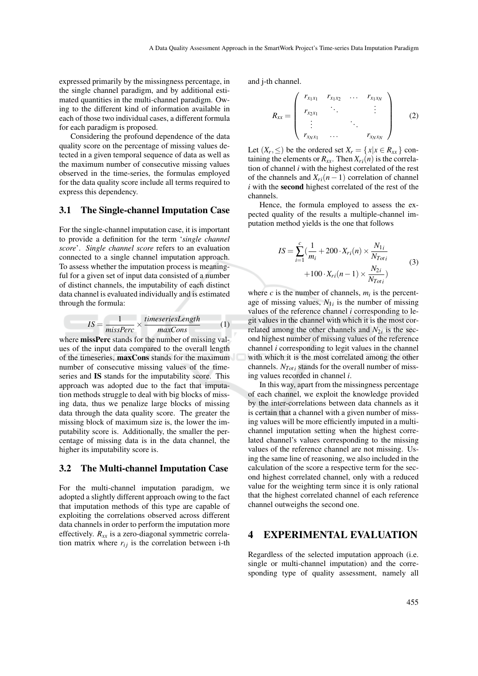expressed primarily by the missingness percentage, in the single channel paradigm, and by additional estimated quantities in the multi-channel paradigm. Owing to the different kind of information available in each of those two individual cases, a different formula for each paradigm is proposed.

Considering the profound dependence of the data quality score on the percentage of missing values detected in a given temporal sequence of data as well as the maximum number of consecutive missing values observed in the time-series, the formulas employed for the data quality score include all terms required to express this dependency.

### 3.1 The Single-channel Imputation Case

For the single-channel imputation case, it is important to provide a definition for the term '*single channel score*'. *Single channel score* refers to an evaluation connected to a single channel imputation approach. To assess whether the imputation process is meaningful for a given set of input data consisted of a number of distinct channels, the imputability of each distinct data channel is evaluated individually and is estimated through the formula:

$$
IS = \frac{1}{missPerc} \times \frac{timeseriesLength}{maxCons}
$$
 (1)

where **missPerc** stands for the number of missing values of the input data compared to the overall length of the timeseries, maxCons stands for the maximum number of consecutive missing values of the timeseries and IS stands for the imputability score. This approach was adopted due to the fact that imputation methods struggle to deal with big blocks of missing data, thus we penalize large blocks of missing data through the data quality score. The greater the missing block of maximum size is, the lower the imputability score is. Additionally, the smaller the percentage of missing data is in the data channel, the higher its imputability score is.

#### 3.2 The Multi-channel Imputation Case

For the multi-channel imputation paradigm, we adopted a slightly different approach owing to the fact that imputation methods of this type are capable of exploiting the correlations observed across different data channels in order to perform the imputation more effectively.  $R_{xx}$  is a zero-diagonal symmetric correlation matrix where  $r_{ij}$  is the correlation between i-th and j-th channel.

$$
R_{xx} = \begin{pmatrix} r_{x_1x_1} & r_{x_1x_2} & \dots & r_{x_1x_N} \\ r_{x_2x_1} & \ddots & & \vdots \\ \vdots & & \ddots & \vdots \\ r_{x_Nx_1} & \dots & & r_{x_Nx_N} \end{pmatrix}
$$
 (2)

Let  $(X_r, \leq)$  be the ordered set  $X_r = \{x | x \in R_{xx}\}\)$  containing the elements or  $R_{xx}$ . Then  $X_{ri}(n)$  is the correlation of channel *i* with the highest correlated of the rest of the channels and *Xri*(*n*−1) correlation of channel *i* with the second highest correlated of the rest of the channels.

Hence, the formula employed to assess the expected quality of the results a multiple-channel imputation method yields is the one that follows

$$
IS = \sum_{i=1}^{c} \left( \frac{1}{m_i} + 200 \cdot X_{ri}(n) \times \frac{N_{1i}}{N_{Toti}} + 100 \cdot X_{ri}(n-1) \times \frac{N_{2i}}{N_{Toti}} \right)
$$
(3)

where  $c$  is the number of channels,  $m_i$  is the percentage of missing values,  $N_{1i}$  is the number of missing values of the reference channel *i* corresponding to legit values in the channel with which it is the most correlated among the other channels and  $N_{2i}$  is the second highest number of missing values of the reference channel *i* corresponding to legit values in the channel with which it is the most correlated among the other channels.  $N_{Toti}$  stands for the overall number of missing values recorded in channel *i*.

In this way, apart from the missingness percentage of each channel, we exploit the knowledge provided by the inter-correlations between data channels as it is certain that a channel with a given number of missing values will be more efficiently imputed in a multichannel imputation setting when the highest correlated channel's values corresponding to the missing values of the reference channel are not missing. Using the same line of reasoning, we also included in the calculation of the score a respective term for the second highest correlated channel, only with a reduced value for the weighting term since it is only rational that the highest correlated channel of each reference channel outweighs the second one.

## 4 EXPERIMENTAL EVALUATION

Regardless of the selected imputation approach (i.e. single or multi-channel imputation) and the corresponding type of quality assessment, namely all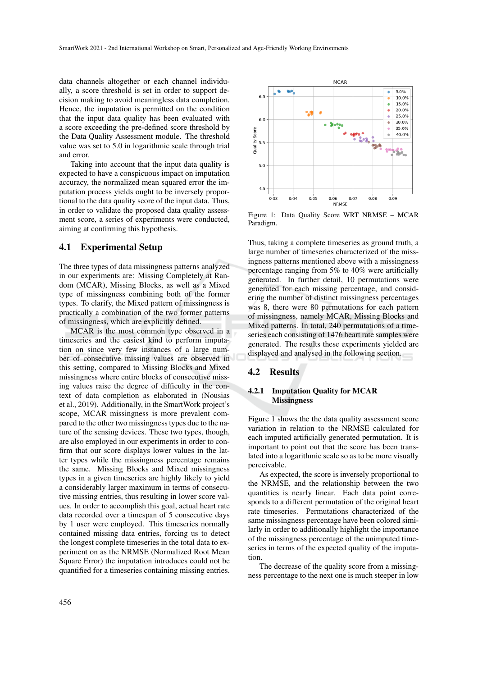data channels altogether or each channel individually, a score threshold is set in order to support decision making to avoid meaningless data completion. Hence, the imputation is permitted on the condition that the input data quality has been evaluated with a score exceeding the pre-defined score threshold by the Data Quality Assessment module. The threshold value was set to 5.0 in logarithmic scale through trial and error.

Taking into account that the input data quality is expected to have a conspicuous impact on imputation accuracy, the normalized mean squared error the imputation process yields ought to be inversely proportional to the data quality score of the input data. Thus, in order to validate the proposed data quality assessment score, a series of experiments were conducted, aiming at confirming this hypothesis.

#### 4.1 Experimental Setup

The three types of data missingness patterns analyzed in our experiments are: Missing Completely at Random (MCAR), Missing Blocks, as well as a Mixed type of missingness combining both of the former types. To clarify, the Mixed pattern of missingness is practically a combination of the two former patterns of missingness, which are explicitly defined.

MCAR is the most common type observed in a timeseries and the easiest kind to perform imputation on since very few instances of a large number of consecutive missing values are observed in this setting, compared to Missing Blocks and Mixed missingness where entire blocks of consecutive missing values raise the degree of difficulty in the context of data completion as elaborated in (Nousias et al., 2019). Additionally, in the SmartWork project's scope, MCAR missingness is more prevalent compared to the other two missingness types due to the nature of the sensing devices. These two types, though, are also employed in our experiments in order to confirm that our score displays lower values in the latter types while the missingness percentage remains the same. Missing Blocks and Mixed missingness types in a given timeseries are highly likely to yield a considerably larger maximum in terms of consecutive missing entries, thus resulting in lower score values. In order to accomplish this goal, actual heart rate data recorded over a timespan of 5 consecutive days by 1 user were employed. This timeseries normally contained missing data entries, forcing us to detect the longest complete timeseries in the total data to experiment on as the NRMSE (Normalized Root Mean Square Error) the imputation introduces could not be quantified for a timeseries containing missing entries.



Figure 1: Data Quality Score WRT NRMSE – MCAR Paradigm.

Thus, taking a complete timeseries as ground truth, a large number of timeseries characterized of the missingness patterns mentioned above with a missingness percentage ranging from 5% to 40% were artificially generated. In further detail, 10 permutations were generated for each missing percentage, and considering the number of distinct missingness percentages was 8, there were 80 permutations for each pattern of missingness, namely MCAR, Missing Blocks and Mixed patterns. In total, 240 permutations of a timeseries each consisting of 1476 heart rate samples were generated. The results these experiments yielded are displayed and analysed in the following section.

#### 4.2 Results

#### 4.2.1 Imputation Quality for MCAR **Missingness**

Figure 1 shows the the data quality assessment score variation in relation to the NRMSE calculated for each imputed artificially generated permutation. It is important to point out that the score has been translated into a logarithmic scale so as to be more visually perceivable.

As expected, the score is inversely proportional to the NRMSE, and the relationship between the two quantities is nearly linear. Each data point corresponds to a different permutation of the original heart rate timeseries. Permutations characterized of the same missingness percentage have been colored similarly in order to additionally highlight the importance of the missingness percentage of the unimputed timeseries in terms of the expected quality of the imputation.

The decrease of the quality score from a missingness percentage to the next one is much steeper in low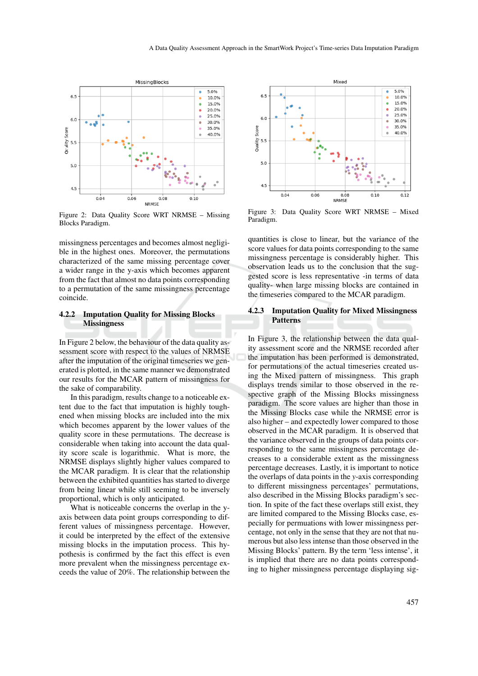

Figure 2: Data Quality Score WRT NRMSE – Missing Blocks Paradigm.

missingness percentages and becomes almost negligible in the highest ones. Moreover, the permutations characterized of the same missing percentage cover a wider range in the y-axis which becomes apparent from the fact that almost no data points corresponding to a permutation of the same missingness percentage coincide.

#### 4.2.2 Imputation Quality for Missing Blocks **Missingness**

In Figure 2 below, the behaviour of the data quality assessment score with respect to the values of NRMSE after the imputation of the original timeseries we generated is plotted, in the same manner we demonstrated our results for the MCAR pattern of missingness for the sake of comparability.

In this paradigm, results change to a noticeable extent due to the fact that imputation is highly toughened when missing blocks are included into the mix which becomes apparent by the lower values of the quality score in these permutations. The decrease is considerable when taking into account the data quality score scale is logarithmic. What is more, the NRMSE displays slightly higher values compared to the MCAR paradigm. It is clear that the relationship between the exhibited quantities has started to diverge from being linear while still seeming to be inversely proportional, which is only anticipated.

What is noticeable concerns the overlap in the yaxis between data point groups corresponding to different values of missingness percentage. However, it could be interpreted by the effect of the extensive missing blocks in the imputation process. This hypothesis is confirmed by the fact this effect is even more prevalent when the missingness percentage exceeds the value of 20%. The relationship between the



Figure 3: Data Quality Score WRT NRMSE – Mixed Paradigm.

quantities is close to linear, but the variance of the score values for data points corresponding to the same missingness percentage is considerably higher. This observation leads us to the conclusion that the suggested score is less representative -in terms of data quality- when large missing blocks are contained in the timeseries compared to the MCAR paradigm.

#### 4.2.3 Imputation Quality for Mixed Missingness Patterns

In Figure 3, the relationship between the data quality assessment score and the NRMSE recorded after the imputation has been performed is demonstrated, for permutations of the actual timeseries created using the Mixed pattern of missingness. This graph displays trends similar to those observed in the respective graph of the Missing Blocks missingness paradigm. The score values are higher than those in the Missing Blocks case while the NRMSE error is also higher – and expectedly lower compared to those observed in the MCAR paradigm. It is observed that the variance observed in the groups of data points corresponding to the same missingness percentage decreases to a considerable extent as the missingness percentage decreases. Lastly, it is important to notice the overlaps of data points in the *y*-axis corresponding to different missingness percentages' permutations, also described in the Missing Blocks paradigm's section. In spite of the fact these overlaps still exist, they are limited compared to the Missing Blocks case, especially for permuations with lower missingness percentage, not only in the sense that they are not that numerous but also less intense than those observed in the Missing Blocks' pattern. By the term 'less intense', it is implied that there are no data points corresponding to higher missingness percentage displaying sig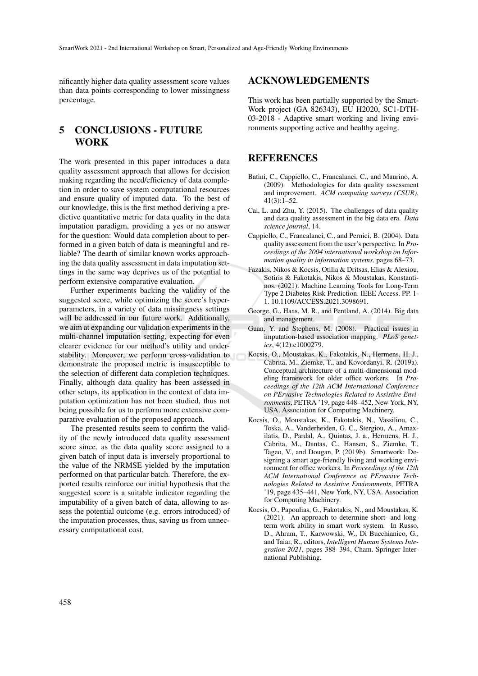nificantly higher data quality assessment score values than data points corresponding to lower missingness percentage.

# 5 CONCLUSIONS - FUTURE WORK

The work presented in this paper introduces a data quality assessment approach that allows for decision making regarding the need/efficiency of data completion in order to save system computational resources and ensure quality of imputed data. To the best of our knowledge, this is the first method deriving a predictive quantitative metric for data quality in the data imputation paradigm, providing a yes or no answer for the question: Would data completion about to performed in a given batch of data is meaningful and reliable? The dearth of similar known works approaching the data quality assessment in data imputation settings in the same way deprives us of the potential to perform extensive comparative evaluation.

Further experiments backing the validity of the suggested score, while optimizing the score's hyperparameters, in a variety of data missingness settings will be addressed in our future work. Additionally, we aim at expanding our validation experiments in the multi-channel imputation setting, expecting for even clearer evidence for our method's utility and understability. Moreover, we perform cross-validation to demonstrate the proposed metric is insusceptible to the selection of different data completion techniques. Finally, although data quality has been assessed in other setups, its application in the context of data imputation optimization has not been studied, thus not being possible for us to perform more extensive comparative evaluation of the proposed approach.

The presented results seem to confirm the validity of the newly introduced data quality assessment score since, as the data quality score assigned to a given batch of input data is inversely proportional to the value of the NRMSE yielded by the imputation performed on that particular batch. Therefore, the exported results reinforce our initial hypothesis that the suggested score is a suitable indicator regarding the imputability of a given batch of data, allowing to assess the potential outcome (e.g. errors introduced) of the imputation processes, thus, saving us from unnecessary computational cost.

## ACKNOWLEDGEMENTS

This work has been partially supported by the Smart-Work project (GA 826343), EU H2020, SC1-DTH-03-2018 - Adaptive smart working and living environments supporting active and healthy ageing.

## **REFERENCES**

- Batini, C., Cappiello, C., Francalanci, C., and Maurino, A. (2009). Methodologies for data quality assessment and improvement. *ACM computing surveys (CSUR)*,  $41(3):1-52.$
- Cai, L. and Zhu, Y. (2015). The challenges of data quality and data quality assessment in the big data era. *Data science journal*, 14.
- Cappiello, C., Francalanci, C., and Pernici, B. (2004). Data quality assessment from the user's perspective. In *Proceedings of the 2004 international workshop on Information quality in information systems*, pages 68–73.
- Fazakis, Nikos & Kocsis, Otilia & Dritsas, Elias & Alexiou, Sotiris & Fakotakis, Nikos & Moustakas, Konstantinos. (2021). Machine Learning Tools for Long-Term Type 2 Diabetes Risk Prediction. IEEE Access. PP. 1- 1. 10.1109/ACCESS.2021.3098691.
- George, G., Haas, M. R., and Pentland, A. (2014). Big data and management.
- Guan, Y. and Stephens, M. (2008). Practical issues in imputation-based association mapping. *PLoS genetics*, 4(12):e1000279.
- Kocsis, O., Moustakas, K., Fakotakis, N., Hermens, H. J., Cabrita, M., Ziemke, T., and Kovordanyi, R. (2019a). Conceptual architecture of a multi-dimensional modeling framework for older office workers. In *Proceedings of the 12th ACM International Conference on PErvasive Technologies Related to Assistive Environments*, PETRA '19, page 448–452, New York, NY, USA. Association for Computing Machinery.
- Kocsis, O., Moustakas, K., Fakotakis, N., Vassiliou, C., Toska, A., Vanderheiden, G. C., Stergiou, A., Amaxilatis, D., Pardal, A., Quintas, J. a., Hermens, H. J., Cabrita, M., Dantas, C., Hansen, S., Ziemke, T., Tageo, V., and Dougan, P. (2019b). Smartwork: Designing a smart age-friendly living and working environment for office workers. In *Proceedings of the 12th ACM International Conference on PErvasive Technologies Related to Assistive Environments*, PETRA '19, page 435–441, New York, NY, USA. Association for Computing Machinery.
- Kocsis, O., Papoulias, G., Fakotakis, N., and Moustakas, K. (2021). An approach to determine short- and longterm work ability in smart work system. In Russo, D., Ahram, T., Karwowski, W., Di Bucchianico, G., and Taiar, R., editors, *Intelligent Human Systems Integration 2021*, pages 388–394, Cham. Springer International Publishing.